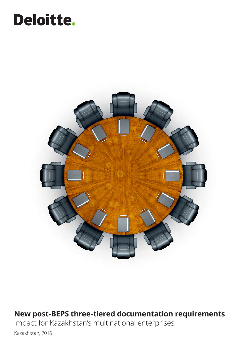## Deloitte.



### **New post-BEPS three-tiered documentation requirements**

Impact for Kazakhstan's multinational enterprises

Kazakhstan, 2016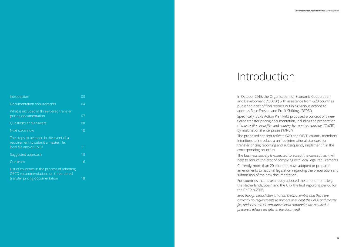| Introduction                                                                                                           | 03 |
|------------------------------------------------------------------------------------------------------------------------|----|
| Documentation requirements                                                                                             | 04 |
| What is included in three-tiered transfer<br>pricing documentation                                                     | 07 |
| Questions and Answers                                                                                                  | 08 |
| Next steps now                                                                                                         | 10 |
| The steps to be taken in the event of a<br>requirement to submit a master file,<br>local file and/or CbCR              | 11 |
| Suggested approach                                                                                                     | 13 |
| Our team                                                                                                               | 16 |
| List of countries in the process of adopting<br>OECD recommendations on three-tiered<br>transfer pricing documentation | 18 |

## Introduction

In October 2015, the Organisation for Economic Cooperation and Development ("OECD") with assistance from G20 countries published a set of final reports outlining various actions to address Base Erosion and Profit Shifting ("BEPS").

Specifically, BEPS Action Plan №13 proposed a concept of threetiered transfer pricing documentation, including the preparation of *master files, local files* and *country-by-country reporting* ("CbCR") by multinational enterprises ("MNE").

The proposed concept reflects G20 and OECD country members' intentions to introduce a unified international standard for transfer pricing reporting and subsequently implement it in the

The business society is expected to accept the concept, as it will help to reduce the cost of complying with local legal requirements.

corresponding countries. the CbCR is 2016.

Currently, more than 20 countries have adopted or prepared amendments to national legislation regarding the preparation and submission of the new documentation.

For countries that have already adopted the amendments (e.g. the Netherlands, Spain and the UK), the first reporting period for

*Even though Kazakhstan is not an OECD member and there are currently no requirements to prepare or submit the CbCR and master file, under certain circumstances local companies are required to prepare it (please see later in the document).*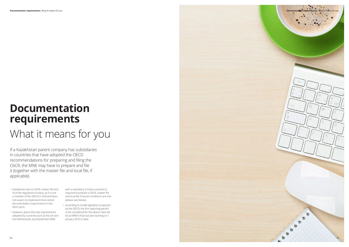## **Documentation requirements**

## What it means for you

If a Kazakhstan parent company has subsidiaries in countries that have adopted the OECD recommendations for preparing and filing the CbCR, the MNE may have to prepare and file it (together with the master file and local file, if applicable).

- Kazakhstan has no CbCR, master file and local file regulations in place, as it is not a member of the OECD or G20 and does not expect to implement three-tiered documentation requirements in the short term.
- However, due to the new requirements adopted by countries such as the UK and the Netherlands, any Kazakhstan MNE

with a subsidiary in those countries is required to prepare a CbCR, master file and local file if certain conditions are met (please see below).

• According to model legislation proposed by the OECD, the first reporting period to be considered for the above rules will be an MNE's financial year starting on 1 January 2016 or later.

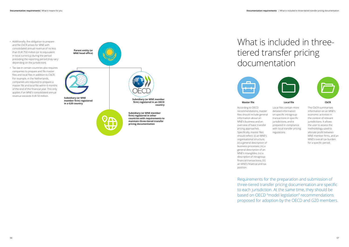



- Additionally, the obligation to prepare and file CbCR arises for MNE with consolidated annual revenue of no less than EUR 750 million (or its equivalent in local currency) during the period preceding the reporting period (may vary depending on the jurisdiction).
- Tax law in certain countries also requires companies to prepare and file master files and local files in addition to CbCR. For example, in the Netherlands, companies are required to prepare a master file and local file within 6 months of the end of the financial year. This only applies if an MNE's consolidated annual revenue exceeds EUR 50 million.



### What is included in threetiered transfer pricing documentation



#### **Master file Local file CbCR**

According to OECD recommendations, master files should include general information about an MNE's business and an overview of basic transfer pricing approaches. Specifically, master files should reflect: (i) an MNE's organisational structure; (ii) a general description of business processes; (iii) a general description of an MNE's intangibles; (iv) a description of intragroup financial transactions; (V) an MNE's financial and tax position. Local files contain more detailed information on specific intragroup transactions in specific jurisdictions, and is prepared in compliance with local transfer pricing regulations.

The CbCR summarises information on an MNE's economic activities in the context of relevant jurisdictions. It allows the user to assess the methodology used to allocate profit between MNE member firms, and an MNE's overall tax burden for a specific period.

Requirements for the preparation and submission of three-tiered transfer pricing documentation are specific to each jurisdiction. At the same time, they should be based on OECD "model legislation" recommendations proposed for adoption by the OECD and G20 members.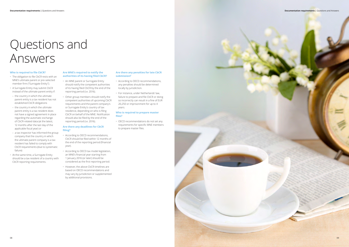

#### **Who is required to file CbCR?**

- The obligation to file CbCR rests with an MNE's ultimate parent or pre-selected member firm ("Surrogate Entity").
- A Surrogate Entity may submit CbCR instead of the ultimate parent entity if:
- the country in which the ultimate parent entity is a tax resident has not established CbCR obligations
- the country in which the ultimate parent entity is a tax resident does not have a signed agreement in place regarding the automatic exchange of CbCR-related data (at the latest, 12 months after the last day of the applicable fiscal year) or
- a tax inspector has informed the group company that the country in which the ultimate parent company is a tax resident has failed to comply with CbCR requirements (due to systematic failure)
- At the same time, a Surrogate Entity should be a tax resident of a country with CbCR reporting requirements.

# Questions and Answers

#### **Are MNE's required to notify the authorities of its having filed CbCR?**

- An MNE parent or Surrogate Entity should notify the competent authorities of its having filed CbCR by the end of the reporting period (i.e. 2016).
- Other group members should notify the competent authorities of upcoming CbCR requirements and the parent company's or Surrogate Entity's country of tax residence, depending on who is filing CbCR on behalf of the MNE. Notification should also be filed by the end of the reporting period (i.e. 2016).

#### **Are there any deadlines for CbCR filing?**

- According to OECD recommendations, CbCR should be filed within 12 months of the end of the reporting period (financial year).
- According to OECD tax model legislation, an MNE's financial year starting from 1 January 2016 (or later) should be considered as the first reporting period.
- However, the above CbCR timelines are based on OECD recommendations and may vary by jurisdiction or supplemented by additional provisions.

#### **Are there any penalties for late CbCR submission?**

- According to OECD recommendations, any penalties should be determined locally by jurisdiction.
- For instance, under Netherlands' law, failure to prepare and file CbCR or doing so incorrectly can result in a fine of EUR 20,250 or imprisonment for up to 4 years.

#### **Who is required to prepare master files?**

• OECD recommendations do not set any requirements for specific MNE members to prepare master files.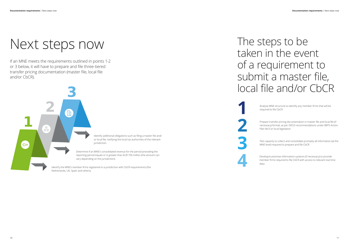10

# Next steps now

If an MNE meets the requirements outlined in points 1-2 or 3 below, it will have to prepare and file three-tiered transfer pricing documentation (master file, local file and/or CbCR).



## The steps to be taken in the event of a requirement to submit a master file, local file and/or CbCR

Analyse MNE structure to identify any member firms that will be required to file CbCR

Prepare transfer pricing documentation in master file and local file (if necessary) format, as per OECD recommendations under BEPS Action Plan №13 or local legislation

Test capacity to collect and consolidate promptly all information (at the MNE level) required to prepare and file CbCR

Develop/customise information systems (if necessary) to provide member firms required to file CbCR with access to relevant real time data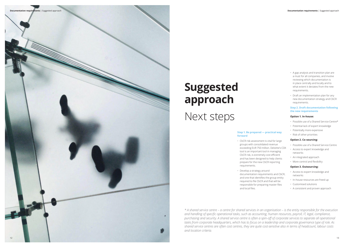

- A gap analysis and transition plan are a must for all companies, and involve reviewing which documentation is in place centrally and locally and to what extent it deviates from the new requirements.
- Draft an implementation plan for any new documentation strategy and CbCR requirements.

#### **Step 2. Draft documentation following the new requirements**

#### **Option 1. In-house:**

- Possible use of a Shared Service Centre\*
- Potential lack of expert knowledge
- Potentially more expensive
- Risk of other priorities

### **Option 2. Co-sourcing:**

- Possible use of a Shared Service Centre
- Access to expert knowledge and networks
- An integrated approach
- More control and flexibility

### **Option 3. Outsourcing:**

- Access to expert knowledge and networks
- In-house resources are freed up
- Customised solutions
- A consistent and proven approach

#### **Step 1. Be prepared — practical way forward**

- CbCR risk assessment is vital for large groups with consolidated revenue exceeding EUR 750 million. Deloitte's CDX tool is an important tool in managing CbCR risk, is extremely cost efficient and has been designed to help clients prepare for the new CbCR reporting requirements.
- Develop a strategy around documentation requirements and CbCR, and one that identifies the group entity required to file CbCR and that will be responsible for preparing master files and local files.

# **Suggested approach**

## Next steps

*\* A shared service centre – a centre for shared services in an organisation – is the entity responsible for the execution and handling of specific operational tasks, such as accounting, human resources, payroll, IT, legal, compliance, purchasing and security. A shared service centre is often a spin-off of corporate services to separate all operational tasks from corporate headquarters, which has to focus on a leadership and corporate governance type of role. As shared service centres are often cost centres, they are quite cost-sensitive also in terms of headcount, labour costs and location criteria.*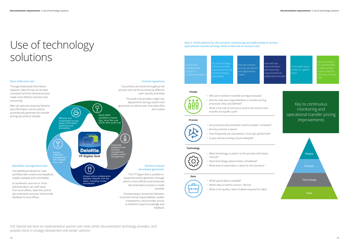## **USE OF LECHNOLOGY** *Step 3. Draft policies for the constant monitoring and addressing of various operational transfer pricing needs in the end-to-end process* solutions

*N.B: Deloitte has been an implementation partner with other similar documentation technology providers, and assisted clients in strategy development and vendor selection.* 

procedures

#### **Data collection tool**

Through (individual) information requests, data format can be kept consistent and the retrieval process made more efficient and less timeconsuming



After an optional review by Deloitte, any information can be used to automatically generate the transfer pricing documents needed

How will new documentation and reporting equirements be

**Central repository** 



.<br>Do you face delay i the accounting losure process d

A coordinator and one or more administrators can, with input from local offices, steer the central documentation process and provide

feedback to local offices

which a more efficient and enhanced documentation process is made

possible

Incorporating a connection between local and central responsibilities creates transparency, and provides access to Deloitte's expert knowledge and feedback

How are transfer pricing calculations and adjustments made?

addressed annually?

the audit status sible on a global unpredictable



Key to continuous monitoring and operational transfer pricing improvements

#### **People**



#### **Process**

#### **Technology**

O

**Data**

- Who are involved in transfer pricing processes?
- Are the roles and responsibilities in transfer pricing processes clear and defined?
- What is the role of Central vs Local in the end-to-end transfer pricing life cycle?

- Are processes documented /communicated / reviewed?
- Are key controls in place?
- How frequently are calculations / true-up's performed?
- Is year-end accounting closure delayed?

- What technology is used or is the process still mostly manual?
- Have technology options been considered?
- What level of automation is best for the business?
- 

- 
- What typical data is needed?
	- Which data is hard to extract / derive?
	- What is the quality / level of detail required for data?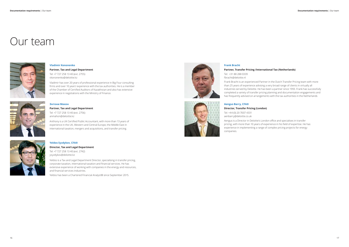#### **Vladimir Kononenko**

**Partner, Tax and Legal Department**

Tel: +7 727 258 13 40 (ext. 2755) vkononenko@deloitte.kz

Vladimir has over 20 years of professional experience in Big Four consulting firms and over 10 years' experience with the tax authorities. He is a member of the Chamber of Certified Auditors of Kazakhstan and also has extensive experience in negotiations with the Ministry of Finance.



### **Энтони Махон Partner, Tax and Legal Department**

Tel: +7 727 258 13 40 (ext. 2756) anmahon@deloitte.kz

Anthony is a UK Certified Public Accountant, with more than 13 years of experience in the UK, Western and Central Europe, the Middle East in international taxation, mergers and acquisitions, and transfer pricing.



### **Yeldos Syzdykov, CFA® Director, Tax and Legal Department**

Tel: +7 727 258 13 40 (ext. 2742) ysyzdykov@deloitte.kz

Yeldos is a Tax and Legal Department Director, specialising in transfer pricing, corporate taxation, international taxation and financial services. He has extensive experience of working with companies in the energy and resources, and financial services industries.

Yeldos has been a Chartered Financial Analyst® since September 2015.



### Our team



#### **Frank Bracht**

### **Partner, Transfer Pricing /International Tax (Netherlands)**

Tel: +31 88 288 0339 fbracht@deloitte.nl

Frank Bracht is an experienced Partner in the Dutch Transfer Pricing team with more than 25 years of experience advising a very broad range of clients in virtually all industries served by Deloitte. He has been a partner since 1993. Frank has successfully completed a variety of transfer pricing planning and documentation engagements and has frequently advised on arrangements with the tax authorities in the Netherlands

### **Aengus Barry, CFA®**

### **Director, Transfer Pricing (London)**

Tel: +44 (0) 20 7007 4331 aenbarry@deloitte.co.uk

Aengus is a Director in Deloitte's London office and specialises in transfer pricing, with more than 10 years of experience in his field of expertise. He has experience in implementing a range of complex pricing projects for energy companies.

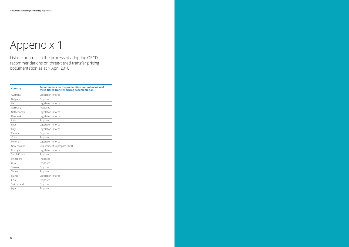| <b>Country</b> | <b>Requirements for the preparation and submission of</b><br>three-tiered transfer pricing documentation |
|----------------|----------------------------------------------------------------------------------------------------------|
| Australia      | Legislation in force                                                                                     |
| Belgium        | Proposed                                                                                                 |
| <b>UK</b>      | Legislation in force                                                                                     |
| Germany        | Proposed                                                                                                 |
| Netherlands    | Legislation in force                                                                                     |
| Denmark        | Legislation in force                                                                                     |
| India          | Proposed                                                                                                 |
| Spain          | Legislation in force                                                                                     |
| Italy          | Legislation in force                                                                                     |
| Canada         | Proposed                                                                                                 |
| China          | Proposed                                                                                                 |
| Mexico         | Legislation in force                                                                                     |
| New Zealand    | Requirement to prepare CbCR                                                                              |
| Portugal       | Legislation in force                                                                                     |
| South Korea    | Proposed                                                                                                 |
| Singapore      | Proposed                                                                                                 |
| <b>USA</b>     | Proposed                                                                                                 |
| Taiwan         | Proposed                                                                                                 |
| Turkey         | Proposed                                                                                                 |
| France         | Legislation in force                                                                                     |
| Chile          | Proposed                                                                                                 |
| Switzerland    | Proposed                                                                                                 |
| Japan          | Proposed                                                                                                 |

# Appendix 1

List of countries in the process of adopting OECD recommendations on three-tiered transfer pricing documentation as at 1 April 2016